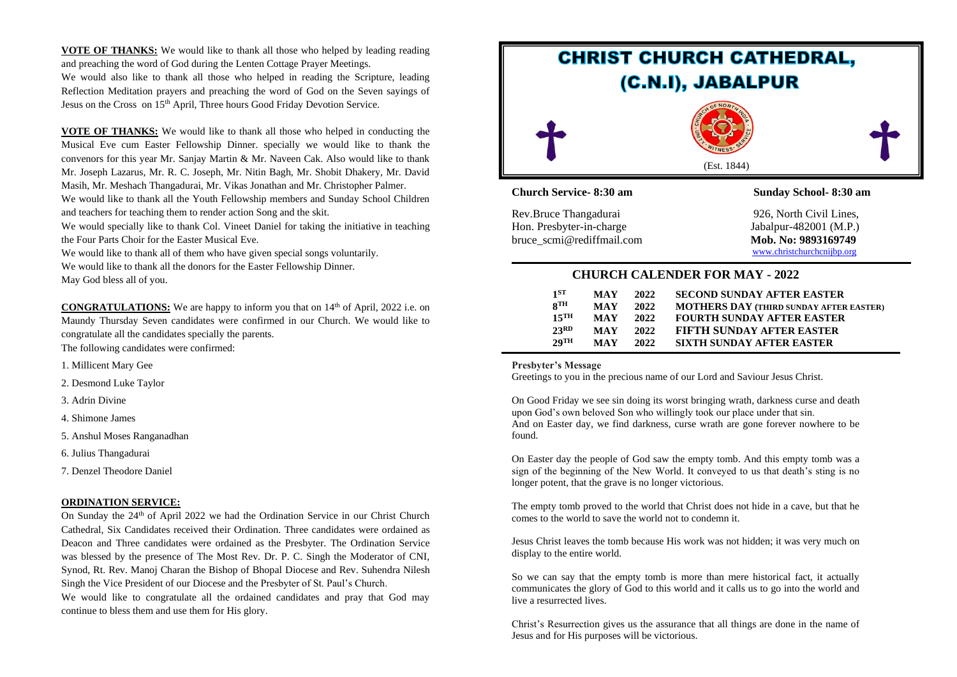**VOTE OF THANKS:** We would like to thank all those who helped by leading reading and preaching the word of God during the Lenten Cottage Prayer Meetings.

We would also like to thank all those who helped in reading the Scripture, leading Reflection Meditation prayers and preaching the word of God on the Seven sayings of Jesus on the Cross on 15<sup>th</sup> April, Three hours Good Friday Devotion Service.

**VOTE OF THANKS:** We would like to thank all those who helped in conducting the Musical Eve cum Easter Fellowship Dinner. specially we would like to thank the convenors for this year Mr. Sanjay Martin & Mr. Naveen Cak. Also would like to thank Mr. Joseph Lazarus, Mr. R. C. Joseph, Mr. Nitin Bagh, Mr. Shobit Dhakery, Mr. David Masih, Mr. Meshach Thangadurai, Mr. Vikas Jonathan and Mr. Christopher Palmer.

We would like to thank all the Youth Fellowship members and Sunday School Children and teachers for teaching them to render action Song and the skit.

We would specially like to thank Col. Vineet Daniel for taking the initiative in teaching the Four Parts Choir for the Easter Musical Eve.

We would like to thank all of them who have given special songs voluntarily.

We would like to thank all the donors for the Easter Fellowship Dinner.

May God bless all of you.

**CONGRATULATIONS:** We are happy to inform you that on 14<sup>th</sup> of April, 2022 i.e. on Maundy Thursday Seven candidates were confirmed in our Church. We would like to congratulate all the candidates specially the parents.

The following candidates were confirmed:

1. Millicent Mary Gee

2. Desmond Luke Taylor

3. Adrin Divine

4. Shimone James

5. Anshul Moses Ranganadhan

6. Julius Thangadurai

7. Denzel Theodore Daniel

#### **ORDINATION SERVICE:**

On Sunday the 24<sup>th</sup> of April 2022 we had the Ordination Service in our Christ Church Cathedral, Six Candidates received their Ordination. Three candidates were ordained as Deacon and Three candidates were ordained as the Presbyter. The Ordination Service was blessed by the presence of The Most Rev. Dr. P. C. Singh the Moderator of CNI, Synod, Rt. Rev. Manoj Charan the Bishop of Bhopal Diocese and Rev. Suhendra Nilesh Singh the Vice President of our Diocese and the Presbyter of St. Paul's Church.

We would like to congratulate all the ordained candidates and pray that God may continue to bless them and use them for His glory.



Rev.Bruce Thangadurai 926, North Civil Lines, Hon. Presbyter-in-charge Jabalpur-482001 (M.P.) bruce scmi@rediffmail.com Mob. No: 9893169749

[www.christchurchcnijbp.org](http://www.christchurchcnijbp.org/)

## **CHURCH CALENDER FOR MAY - 2022**

| 1ST                | <b>MAY</b> | 2022 | <b>SECOND SUNDAY AFTER EASTER</b>              |
|--------------------|------------|------|------------------------------------------------|
| $8$ TH             | <b>MAY</b> | 2022 | <b>MOTHERS DAY (THIRD SUNDAY AFTER EASTER)</b> |
| $15$ <sup>TH</sup> | <b>MAY</b> | 2022 | <b>FOURTH SUNDAY AFTER EASTER</b>              |
| 23RD               | <b>MAY</b> | 2022 | <b>FIFTH SUNDAY AFTER EASTER</b>               |
| $2.9$ TH           | <b>MAY</b> | 2022 | <b>SIXTH SUNDAY AFTER EASTER</b>               |
|                    |            |      |                                                |

#### **Presbyter's Message**

Greetings to you in the precious name of our Lord and Saviour Jesus Christ.

On Good Friday we see sin doing its worst bringing wrath, darkness curse and death upon God's own beloved Son who willingly took our place under that sin. And on Easter day, we find darkness, curse wrath are gone forever nowhere to be found.

On Easter day the people of God saw the empty tomb. And this empty tomb was a sign of the beginning of the New World. It conveyed to us that death's sting is no longer potent, that the grave is no longer victorious.

The empty tomb proved to the world that Christ does not hide in a cave, but that he comes to the world to save the world not to condemn it.

Jesus Christ leaves the tomb because His work was not hidden; it was very much on display to the entire world.

So we can say that the empty tomb is more than mere historical fact, it actually communicates the glory of God to this world and it calls us to go into the world and live a resurrected lives.

Christ's Resurrection gives us the assurance that all things are done in the name of Jesus and for His purposes will be victorious.